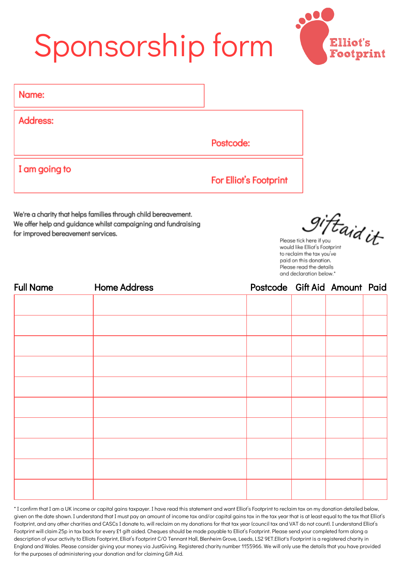## Sponsorship form



| Name:         |                        |
|---------------|------------------------|
| Address:      |                        |
|               | Postcode:              |
| I am going to | For Elliot's Footprint |

We're a charity that helps families through child bereavement. We offer help and guidance whilst campaigning and fundraising for improved bereavement services.

iftaid it

Please tick here if you would like Elliot's Footprint to reclaim the tax you've paid on this donation. Please read the details and declaration below.\*

| <b>Full Name</b> | <b>Home Address</b> | Postcode Gift Aid Amount Paid |  |  |
|------------------|---------------------|-------------------------------|--|--|
|                  |                     |                               |  |  |
|                  |                     |                               |  |  |
|                  |                     |                               |  |  |
|                  |                     |                               |  |  |
|                  |                     |                               |  |  |
|                  |                     |                               |  |  |
|                  |                     |                               |  |  |
|                  |                     |                               |  |  |
|                  |                     |                               |  |  |
|                  |                     |                               |  |  |
|                  |                     |                               |  |  |

\* I confirm that I am a UK income or capital gains taxpayer. I have read this statement and want Elliot's Footprint to reclaim tax on my donation detailed below, given on the date shown. I understand that I must pay an amount of income tax and/or capital gains tax in the tax year that is at least equal to the tax that Elliot's Footprint, and any other charities and CASCs I donate to, will reclaim on my donations for that tax year (council tax and VAT do not count). I understand Elliot's Footprint will claim 25p in tax back for every £1 gift aided. Cheques should be made payable to Elliot's Footprint. Please send your completed form along a description of your activity to Elliots Footprint, Elliot's Footprint C/O Tennant Hall, Blenheim Grove, Leeds, LS2 9ET.Elliot's Footprint is a registered charity in England and Wales. Please consider giving your money via JustGiving. Registered charity number 1155966. We will only use the details that you have provided for the purposes of administering your donation and for claiming Gift Aid.